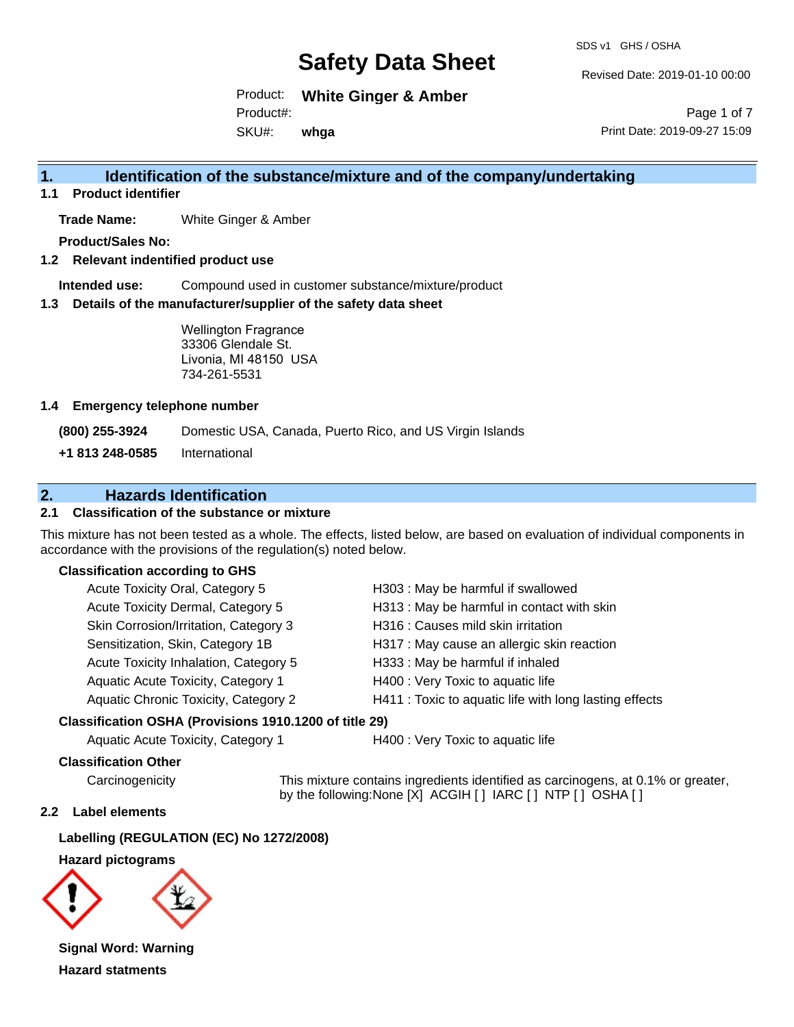SDS v1 GHS / OSHA

Revised Date: 2019-01-10 00:00

Product: **White Ginger & Amber** SKU#: Product#: **whga**

Page 1 of 7 Print Date: 2019-09-27 15:09

### **1. Identification of the substance/mixture and of the company/undertaking**

**1.1 Product identifier**

**Trade Name:** White Ginger & Amber

**Product/Sales No:**

**1.2 Relevant indentified product use**

**Intended use:** Compound used in customer substance/mixture/product

**1.3 Details of the manufacturer/supplier of the safety data sheet**

Wellington Fragrance 33306 Glendale St. Livonia, MI 48150 USA 734-261-5531

#### **1.4 Emergency telephone number**

**(800) 255-3924** Domestic USA, Canada, Puerto Rico, and US Virgin Islands

**+1 813 248-0585** International

### **2. Hazards Identification**

#### **2.1 Classification of the substance or mixture**

This mixture has not been tested as a whole. The effects, listed below, are based on evaluation of individual components in accordance with the provisions of the regulation(s) noted below.

#### **Classification according to GHS**

| Acute Toxicity Oral, Category 5       | H303 : May be harmful if swallowed                     |
|---------------------------------------|--------------------------------------------------------|
| Acute Toxicity Dermal, Category 5     | H313: May be harmful in contact with skin              |
| Skin Corrosion/Irritation, Category 3 | H316 : Causes mild skin irritation                     |
| Sensitization, Skin, Category 1B      | H317 : May cause an allergic skin reaction             |
| Acute Toxicity Inhalation, Category 5 | H333: May be harmful if inhaled                        |
| Aquatic Acute Toxicity, Category 1    | H400 : Very Toxic to aquatic life                      |
| Aquatic Chronic Toxicity, Category 2  | H411 : Toxic to aquatic life with long lasting effects |
|                                       |                                                        |

#### **Classification OSHA (Provisions 1910.1200 of title 29)**

Aquatic Acute Toxicity, Category 1 **H400** : Very Toxic to aquatic life

#### **Classification Other**

Carcinogenicity This mixture contains ingredients identified as carcinogens, at 0.1% or greater, by the following:None [X] ACGIH [ ] IARC [ ] NTP [ ] OSHA [ ]

#### **2.2 Label elements**

**Labelling (REGULATION (EC) No 1272/2008)**

**Hazard pictograms**



**Signal Word: Warning Hazard statments**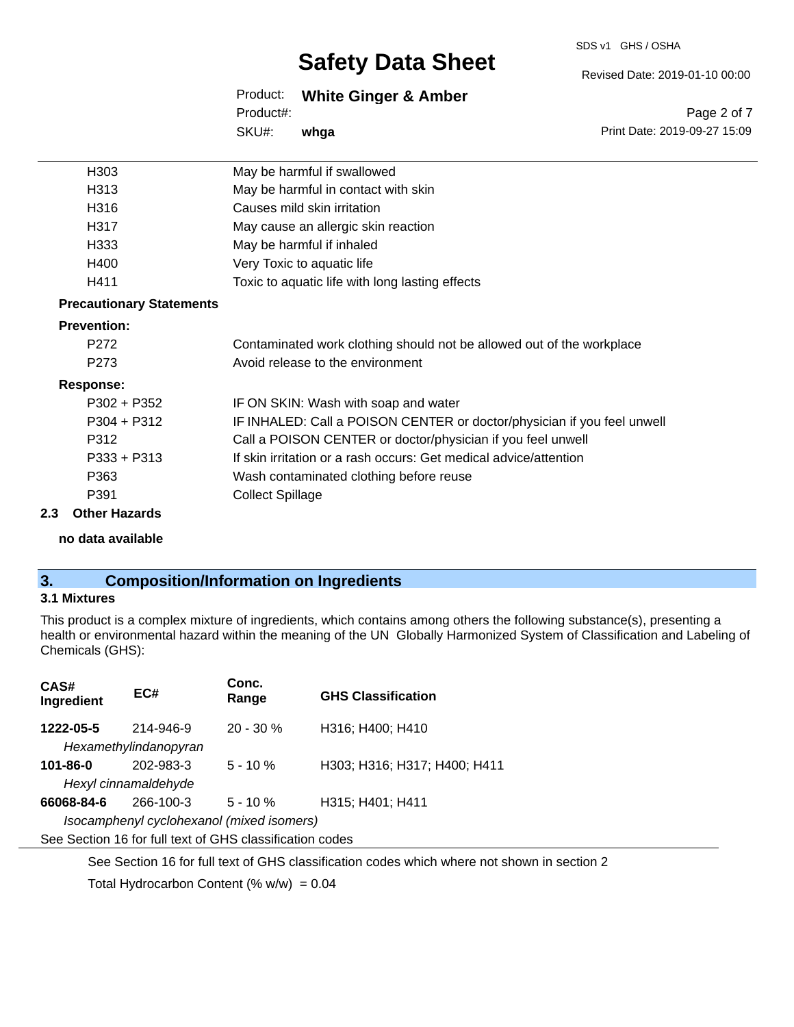#### SDS v1 GHS / OSHA

# **Safety Data Sheet**

Revised Date: 2019-01-10 00:00

Print Date: 2019-09-27 15:09

Page 2 of 7

Product: **White Ginger & Amber** SKU#: Product#: **whga**

| H303                            | May be harmful if swallowed                                             |  |  |
|---------------------------------|-------------------------------------------------------------------------|--|--|
| H313                            | May be harmful in contact with skin                                     |  |  |
| H316                            | Causes mild skin irritation                                             |  |  |
| H317                            | May cause an allergic skin reaction                                     |  |  |
| H333                            | May be harmful if inhaled                                               |  |  |
| H400                            | Very Toxic to aquatic life                                              |  |  |
| H411                            | Toxic to aquatic life with long lasting effects                         |  |  |
| <b>Precautionary Statements</b> |                                                                         |  |  |
| <b>Prevention:</b>              |                                                                         |  |  |
| P <sub>272</sub>                | Contaminated work clothing should not be allowed out of the workplace   |  |  |
| P <sub>273</sub>                | Avoid release to the environment                                        |  |  |
| <b>Response:</b>                |                                                                         |  |  |
| $P302 + P352$                   | IF ON SKIN: Wash with soap and water                                    |  |  |
| $P304 + P312$                   | IF INHALED: Call a POISON CENTER or doctor/physician if you feel unwell |  |  |
| P312                            | Call a POISON CENTER or doctor/physician if you feel unwell             |  |  |
| $P333 + P313$                   | If skin irritation or a rash occurs: Get medical advice/attention       |  |  |
| P363                            | Wash contaminated clothing before reuse                                 |  |  |
| P391                            | <b>Collect Spillage</b>                                                 |  |  |
| 2.3<br><b>Other Hazards</b>     |                                                                         |  |  |

**no data available**

# **3. Composition/Information on Ingredients**

#### **3.1 Mixtures**

This product is a complex mixture of ingredients, which contains among others the following substance(s), presenting a health or environmental hazard within the meaning of the UN Globally Harmonized System of Classification and Labeling of Chemicals (GHS):

| CAS#<br>Ingredient                                       | EC#       | Conc.<br>Range | <b>GHS Classification</b>    |  |
|----------------------------------------------------------|-----------|----------------|------------------------------|--|
| 1222-05-5                                                | 214-946-9 | $20 - 30 \%$   | H316; H400; H410             |  |
| Hexamethylindanopyran                                    |           |                |                              |  |
| $101 - 86 - 0$                                           | 202-983-3 | $5 - 10 \%$    | H303; H316; H317; H400; H411 |  |
| Hexyl cinnamaldehyde                                     |           |                |                              |  |
| 66068-84-6                                               | 266-100-3 | $5 - 10 \%$    | H315; H401; H411             |  |
| Isocamphenyl cyclohexanol (mixed isomers)                |           |                |                              |  |
| See Section 16 for full text of GHS classification codes |           |                |                              |  |

See Section 16 for full text of GHS classification codes which where not shown in section 2

Total Hydrocarbon Content (%  $w/w$ ) = 0.04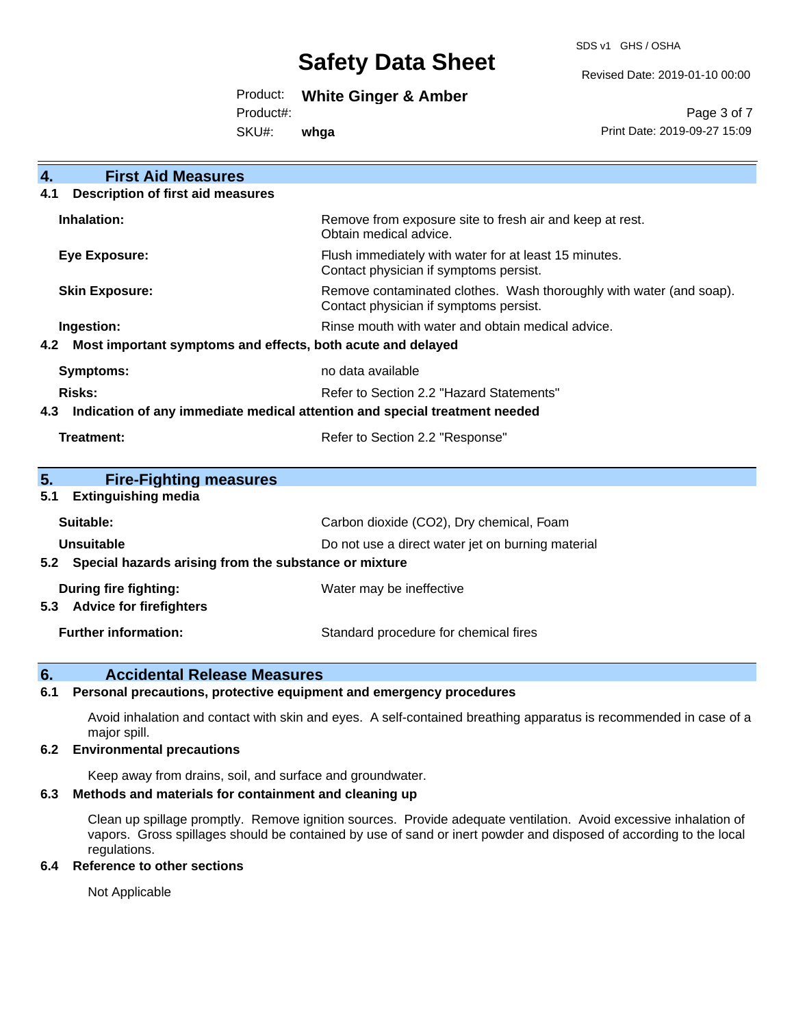SDS v1 GHS / OSHA

Revised Date: 2019-01-10 00:00

Product: **White Ginger & Amber**

Product#:

SKU#: **whga**

Page 3 of 7 Print Date: 2019-09-27 15:09

| <b>First Aid Measures</b><br>$\overline{4}$ .                                     |                                                                                                               |  |  |
|-----------------------------------------------------------------------------------|---------------------------------------------------------------------------------------------------------------|--|--|
| <b>Description of first aid measures</b><br>4.1                                   |                                                                                                               |  |  |
| Inhalation:                                                                       | Remove from exposure site to fresh air and keep at rest.<br>Obtain medical advice.                            |  |  |
| Eye Exposure:                                                                     | Flush immediately with water for at least 15 minutes.<br>Contact physician if symptoms persist.               |  |  |
| <b>Skin Exposure:</b>                                                             | Remove contaminated clothes. Wash thoroughly with water (and soap).<br>Contact physician if symptoms persist. |  |  |
| Ingestion:                                                                        | Rinse mouth with water and obtain medical advice.                                                             |  |  |
| Most important symptoms and effects, both acute and delayed<br>4.2                |                                                                                                               |  |  |
| Symptoms:                                                                         | no data available                                                                                             |  |  |
| <b>Risks:</b>                                                                     | Refer to Section 2.2 "Hazard Statements"                                                                      |  |  |
| Indication of any immediate medical attention and special treatment needed<br>4.3 |                                                                                                               |  |  |
| Treatment:                                                                        | Refer to Section 2.2 "Response"                                                                               |  |  |
|                                                                                   |                                                                                                               |  |  |
| 5.<br><b>Fire-Fighting measures</b>                                               |                                                                                                               |  |  |
| <b>Extinguishing media</b><br>5.1                                                 |                                                                                                               |  |  |
| Suitable:                                                                         | Carbon dioxide (CO2), Dry chemical, Foam                                                                      |  |  |
| <b>Unsuitable</b>                                                                 | Do not use a direct water jet on burning material                                                             |  |  |
| Special hazards arising from the substance or mixture<br>5.2                      |                                                                                                               |  |  |
| During fire fighting:                                                             | Water may be ineffective                                                                                      |  |  |
| <b>Advice for firefighters</b><br>5.3                                             |                                                                                                               |  |  |
| <b>Further information:</b>                                                       | Standard procedure for chemical fires                                                                         |  |  |
|                                                                                   |                                                                                                               |  |  |

### **6. Accidental Release Measures**

#### **6.1 Personal precautions, protective equipment and emergency procedures**

Avoid inhalation and contact with skin and eyes. A self-contained breathing apparatus is recommended in case of a major spill.

#### **6.2 Environmental precautions**

Keep away from drains, soil, and surface and groundwater.

### **6.3 Methods and materials for containment and cleaning up**

Clean up spillage promptly. Remove ignition sources. Provide adequate ventilation. Avoid excessive inhalation of vapors. Gross spillages should be contained by use of sand or inert powder and disposed of according to the local regulations.

#### **6.4 Reference to other sections**

Not Applicable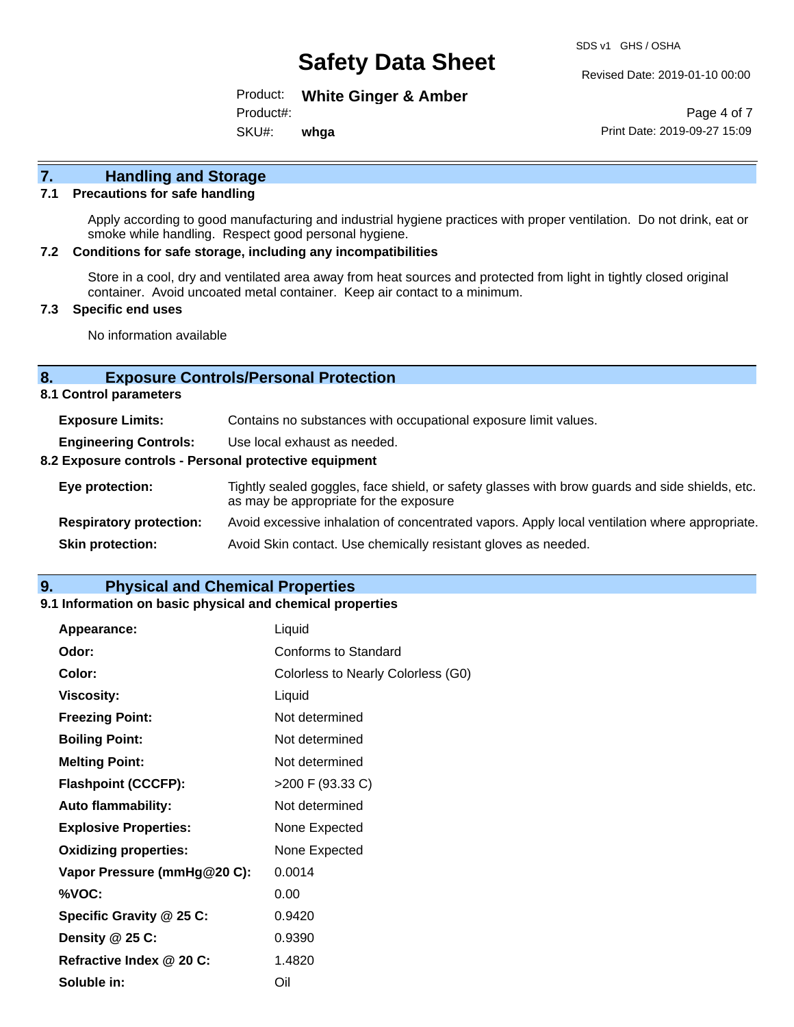Revised Date: 2019-01-10 00:00

Product: **White Ginger & Amber** SKU#: Product#: **whga**

Page 4 of 7 Print Date: 2019-09-27 15:09

# **7. Handling and Storage**

#### **7.1 Precautions for safe handling**

Apply according to good manufacturing and industrial hygiene practices with proper ventilation. Do not drink, eat or smoke while handling. Respect good personal hygiene.

#### **7.2 Conditions for safe storage, including any incompatibilities**

Store in a cool, dry and ventilated area away from heat sources and protected from light in tightly closed original container. Avoid uncoated metal container. Keep air contact to a minimum.

#### **7.3 Specific end uses**

No information available

#### **8. Exposure Controls/Personal Protection**

**8.1 Control parameters**

| <b>Exposure Limits:</b>                               | Contains no substances with occupational exposure limit values.                                                                          |  |  |
|-------------------------------------------------------|------------------------------------------------------------------------------------------------------------------------------------------|--|--|
| <b>Engineering Controls:</b>                          | Use local exhaust as needed.                                                                                                             |  |  |
| 8.2 Exposure controls - Personal protective equipment |                                                                                                                                          |  |  |
| Eye protection:                                       | Tightly sealed goggles, face shield, or safety glasses with brow guards and side shields, etc.<br>as may be appropriate for the exposure |  |  |
| <b>Respiratory protection:</b>                        | Avoid excessive inhalation of concentrated vapors. Apply local ventilation where appropriate.                                            |  |  |
| <b>Skin protection:</b>                               | Avoid Skin contact. Use chemically resistant gloves as needed.                                                                           |  |  |

### **9. Physical and Chemical Properties**

#### **9.1 Information on basic physical and chemical properties**

| Appearance:                  | Liquid                             |
|------------------------------|------------------------------------|
| Odor:                        | Conforms to Standard               |
| Color:                       | Colorless to Nearly Colorless (G0) |
| <b>Viscosity:</b>            | Liquid                             |
| <b>Freezing Point:</b>       | Not determined                     |
| <b>Boiling Point:</b>        | Not determined                     |
| <b>Melting Point:</b>        | Not determined                     |
| <b>Flashpoint (CCCFP):</b>   | >200 F (93.33 C)                   |
| <b>Auto flammability:</b>    | Not determined                     |
| <b>Explosive Properties:</b> | None Expected                      |
| <b>Oxidizing properties:</b> | None Expected                      |
| Vapor Pressure (mmHg@20 C):  | 0.0014                             |
| %VOC:                        | 0.00                               |
| Specific Gravity @ 25 C:     | 0.9420                             |
| Density @ 25 C:              | 0.9390                             |
| Refractive Index @ 20 C:     | 1.4820                             |
| Soluble in:                  | Oil                                |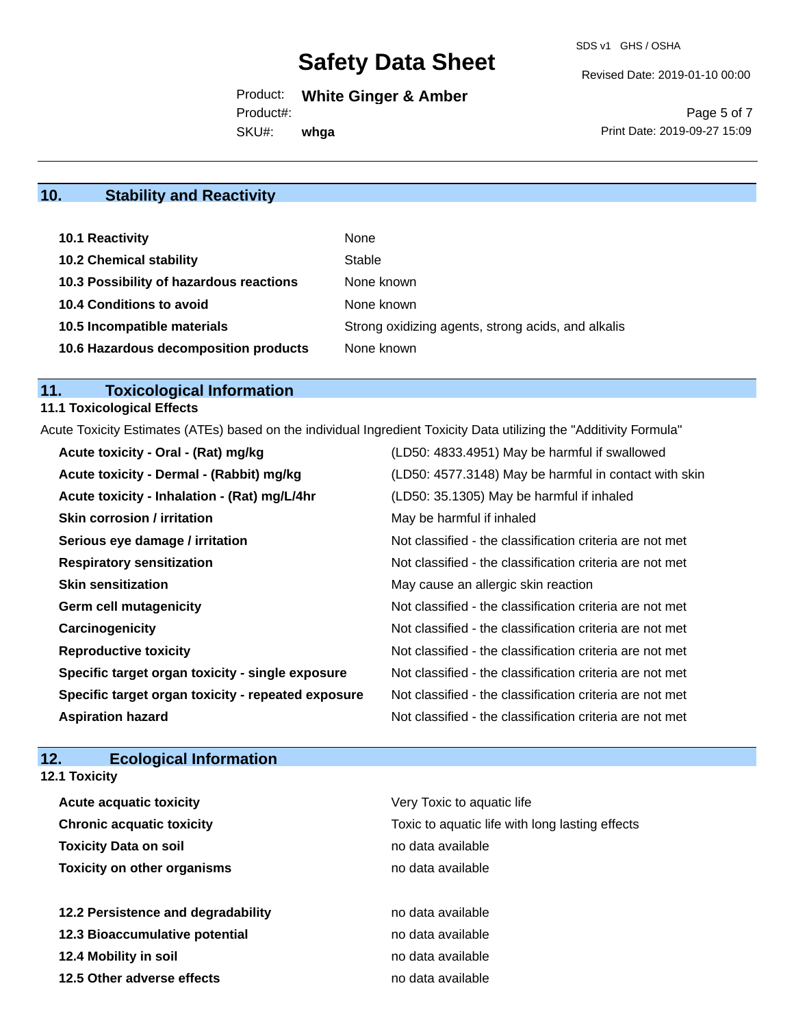Revised Date: 2019-01-10 00:00

Product: **White Ginger & Amber** Product#:

SKU#: **whga**

Page 5 of 7 Print Date: 2019-09-27 15:09

# **10. Stability and Reactivity**

| 10.1 Reactivity                         | None                                               |
|-----------------------------------------|----------------------------------------------------|
| <b>10.2 Chemical stability</b>          | Stable                                             |
| 10.3 Possibility of hazardous reactions | None known                                         |
| <b>10.4 Conditions to avoid</b>         | None known                                         |
| 10.5 Incompatible materials             | Strong oxidizing agents, strong acids, and alkalis |
| 10.6 Hazardous decomposition products   | None known                                         |

# **11. Toxicological Information**

### **11.1 Toxicological Effects**

Acute Toxicity Estimates (ATEs) based on the individual Ingredient Toxicity Data utilizing the "Additivity Formula"

| Acute toxicity - Oral - (Rat) mg/kg                | (LD50: 4833.4951) May be harmful if swallowed            |
|----------------------------------------------------|----------------------------------------------------------|
| Acute toxicity - Dermal - (Rabbit) mg/kg           | (LD50: 4577.3148) May be harmful in contact with skin    |
| Acute toxicity - Inhalation - (Rat) mg/L/4hr       | (LD50: 35.1305) May be harmful if inhaled                |
| <b>Skin corrosion / irritation</b>                 | May be harmful if inhaled                                |
| Serious eye damage / irritation                    | Not classified - the classification criteria are not met |
| <b>Respiratory sensitization</b>                   | Not classified - the classification criteria are not met |
| <b>Skin sensitization</b>                          | May cause an allergic skin reaction                      |
| <b>Germ cell mutagenicity</b>                      | Not classified - the classification criteria are not met |
| Carcinogenicity                                    | Not classified - the classification criteria are not met |
| <b>Reproductive toxicity</b>                       | Not classified - the classification criteria are not met |
| Specific target organ toxicity - single exposure   | Not classified - the classification criteria are not met |
| Specific target organ toxicity - repeated exposure | Not classified - the classification criteria are not met |
| <b>Aspiration hazard</b>                           | Not classified - the classification criteria are not met |

# **12. Ecological Information**

| <b>12.1 Toxicity</b>               |                                                 |
|------------------------------------|-------------------------------------------------|
| <b>Acute acquatic toxicity</b>     | Very Toxic to aquatic life                      |
| <b>Chronic acquatic toxicity</b>   | Toxic to aquatic life with long lasting effects |
| <b>Toxicity Data on soil</b>       | no data available                               |
| <b>Toxicity on other organisms</b> | no data available                               |
| 12.2 Persistence and degradability | no data available                               |
| 12.3 Bioaccumulative potential     | no data available                               |
| 12.4 Mobility in soil              | no data available                               |
| 12.5 Other adverse effects         | no data available                               |
|                                    |                                                 |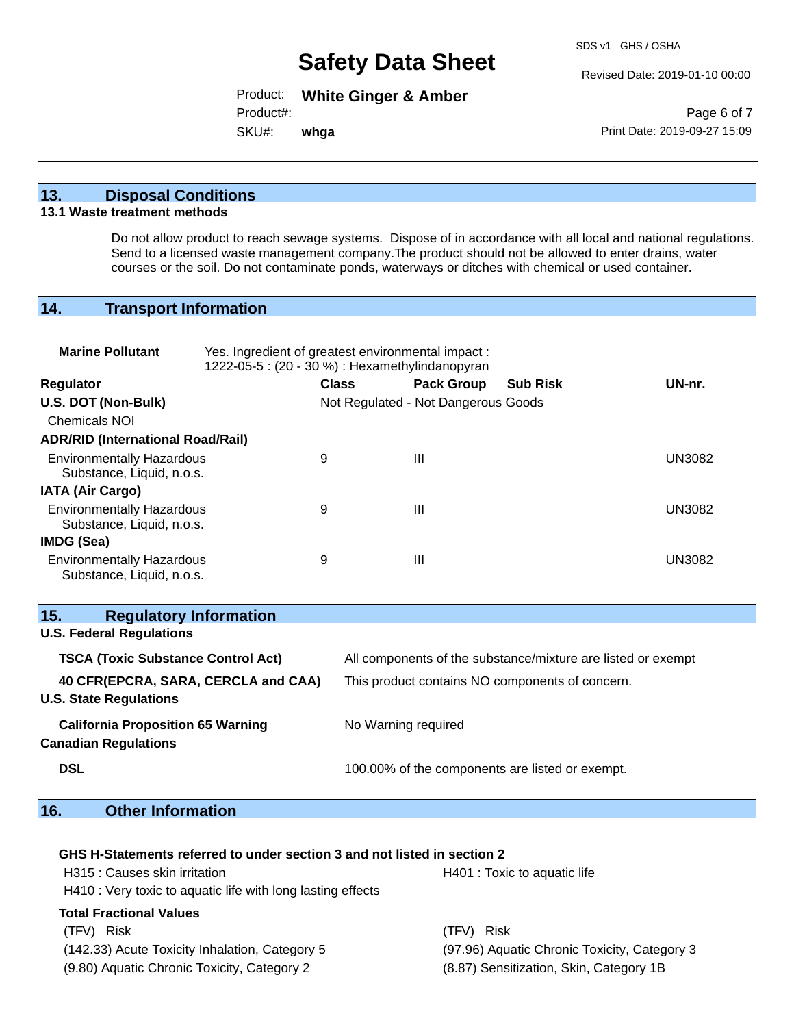Revised Date: 2019-01-10 00:00

Product: **White Ginger & Amber**

Product#:

SKU#: **whga**

Page 6 of 7 Print Date: 2019-09-27 15:09

### **13. Disposal Conditions**

#### **13.1 Waste treatment methods**

Do not allow product to reach sewage systems. Dispose of in accordance with all local and national regulations. Send to a licensed waste management company.The product should not be allowed to enter drains, water courses or the soil. Do not contaminate ponds, waterways or ditches with chemical or used container.

# **14. Transport Information**

| <b>Marine Pollutant</b>                                                 | Yes. Ingredient of greatest environmental impact:<br>1222-05-5 : (20 - 30 %) : Hexamethylindanopyran |                     |                                     |                                                              |               |
|-------------------------------------------------------------------------|------------------------------------------------------------------------------------------------------|---------------------|-------------------------------------|--------------------------------------------------------------|---------------|
| Regulator                                                               |                                                                                                      | <b>Class</b>        | <b>Pack Group</b>                   | <b>Sub Risk</b>                                              | UN-nr.        |
| U.S. DOT (Non-Bulk)                                                     |                                                                                                      |                     | Not Regulated - Not Dangerous Goods |                                                              |               |
| <b>Chemicals NOI</b>                                                    |                                                                                                      |                     |                                     |                                                              |               |
| <b>ADR/RID (International Road/Rail)</b>                                |                                                                                                      |                     |                                     |                                                              |               |
| <b>Environmentally Hazardous</b><br>Substance, Liquid, n.o.s.           | 9                                                                                                    |                     | $\mathbf{III}$                      |                                                              | <b>UN3082</b> |
| <b>IATA (Air Cargo)</b>                                                 |                                                                                                      |                     |                                     |                                                              |               |
| <b>Environmentally Hazardous</b><br>Substance, Liquid, n.o.s.           | 9                                                                                                    |                     | $\mathbf{III}$                      |                                                              | <b>UN3082</b> |
| IMDG (Sea)                                                              |                                                                                                      |                     |                                     |                                                              |               |
| <b>Environmentally Hazardous</b><br>Substance, Liquid, n.o.s.           | 9                                                                                                    |                     | III                                 |                                                              | <b>UN3082</b> |
| <b>Regulatory Information</b><br>15.<br><b>U.S. Federal Regulations</b> |                                                                                                      |                     |                                     |                                                              |               |
| <b>TSCA (Toxic Substance Control Act)</b>                               |                                                                                                      |                     |                                     | All components of the substance/mixture are listed or exempt |               |
| 40 CFR(EPCRA, SARA, CERCLA and CAA)<br><b>U.S. State Regulations</b>    |                                                                                                      |                     |                                     | This product contains NO components of concern.              |               |
| <b>California Proposition 65 Warning</b><br><b>Canadian Regulations</b> |                                                                                                      | No Warning required |                                     |                                                              |               |
| <b>DSL</b>                                                              |                                                                                                      |                     |                                     | 100.00% of the components are listed or exempt.              |               |

# **16. Other Information**

| GHS H-Statements referred to under section 3 and not listed in section 2                       |                                         |  |  |
|------------------------------------------------------------------------------------------------|-----------------------------------------|--|--|
| H315 : Causes skin irritation                                                                  | H401 : Toxic to aquatic life            |  |  |
| H410 : Very toxic to aquatic life with long lasting effects                                    |                                         |  |  |
| <b>Total Fractional Values</b>                                                                 |                                         |  |  |
| <b>Risk</b><br>(TFV)                                                                           | (TFV) Risk                              |  |  |
| (97.96) Aquatic Chronic Toxicity, Category 3<br>(142.33) Acute Toxicity Inhalation, Category 5 |                                         |  |  |
| (9.80) Aquatic Chronic Toxicity, Category 2                                                    | (8.87) Sensitization, Skin, Category 1B |  |  |
|                                                                                                |                                         |  |  |